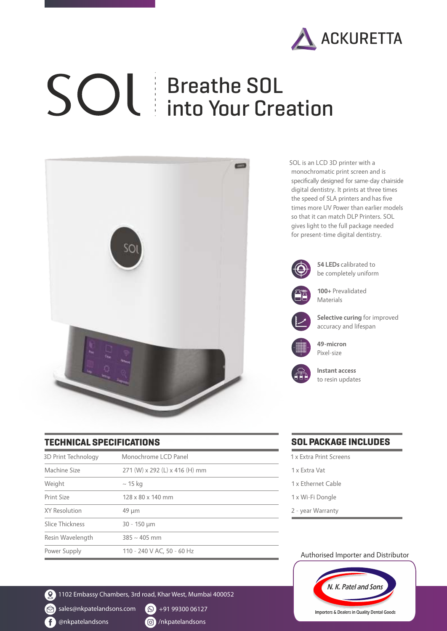

# Breathe SOL into Your Creation



SOL is an LCD 3D printer with a monochromatic print screen and is specifically designed for same-day chairside digital dentistry. It prints at three times the speed of SLA printers and has five times more UV Power than earlier models so that it can match DLP Printers. SOL gives light to the full package needed for present-time digital dentistry.



### **TECHNICAL SPECIFICATIONS**

| 3D Print Technology | Monochrome LCD Panel           |
|---------------------|--------------------------------|
| Machine Size        | 271 (W) x 292 (L) x 416 (H) mm |
| Weight              | $\sim$ 15 kg                   |
| Print Size          | 128 x 80 x 140 mm              |
| XY Resolution       | $49 \mu m$                     |
| Slice Thickness     | $30 - 150 \mu m$               |
| Resin Wavelength    | $385 \sim 405$ mm              |
| Power Supply        | 110 - 240 V AC, 50 - 60 Hz     |

2 1102 Embassy Chambers, 3rd road, Khar West, Mumbai 400052

 $\textcircled{S}$  sales@nkpatelandsons.com  $\textcircled{S}$  +91 99300 06127

<sup>1</sup> @nkpatelandsons **/1/2006** /nkpatelandsons

### **SOL PACKAGE INCLUDES**

- 1 x Extra Print Screens
- 1 x Extra Vat
- 1 x Ethernet Cable
- 1 x Wi-Fi Dongle
- 2 year Warranty

#### Authorised Importer and Distributor



Importers & Dealers in Quality Dental Goods